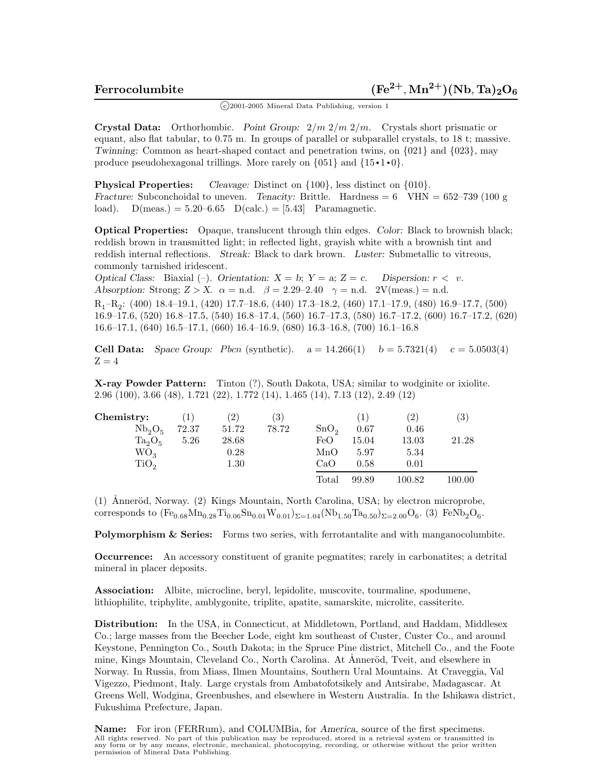$(c)$ 2001-2005 Mineral Data Publishing, version 1

**Crystal Data:** Orthorhombic. *Point Group:* 2*/m* 2*/m* 2*/m.* Crystals short prismatic or equant, also flat tabular, to 0.75 m. In groups of parallel or subparallel crystals, to 18 t; massive. *Twinning:* Common as heart-shaped contact and penetration twins, on {021} and {023}, may produce pseudohexagonal trillings. More rarely on  $\{051\}$  and  $\{15 \cdot 1 \cdot 0\}$ .

**Physical Properties:** *Cleavage:* Distinct on  $\{100\}$ , less distinct on  $\{010\}$ . *Fracture:* Subconchoidal to uneven. *Tenacity:* Brittle. Hardness = 6 VHN = 652–739 (100 g load).  $D(meas.) = 5.20-6.65 \quad D(calc.) = [5.43] \quad Paramagnetic.$ 

**Optical Properties:** Opaque, translucent through thin edges. *Color:* Black to brownish black; reddish brown in transmitted light; in reflected light, grayish white with a brownish tint and reddish internal reflections. *Streak:* Black to dark brown. *Luster:* Submetallic to vitreous, commonly tarnished iridescent.

*Optical Class:* Biaxial  $(-)$ . *Orientation:*  $X = b$ ;  $Y = a$ ;  $Z = c$ . *Dispersion:*  $r < v$ . *Absorption:* Strong;  $Z > X$ .  $\alpha = \text{n.d.}$   $\beta = 2.29-2.40$   $\gamma = \text{n.d.}$  2V(meas.) = n.d.

R1–R2: (400) 18.4–19.1, (420) 17.7–18.6, (440) 17.3–18.2, (460) 17.1–17.9, (480) 16.9–17.7, (500) 16.9–17.6, (520) 16.8–17.5, (540) 16.8–17.4, (560) 16.7–17.3, (580) 16.7–17.2, (600) 16.7–17.2, (620) 16.6–17.1, (640) 16.5–17.1, (660) 16.4–16.9, (680) 16.3–16.8, (700) 16.1–16.8

**Cell Data:** *Space Group: Pbcn* (synthetic).  $a = 14.266(1)$   $b = 5.7321(4)$   $c = 5.0503(4)$  $Z=4$ 

**X-ray Powder Pattern:** Tinton (?), South Dakota, USA; similar to wodginite or ixiolite. 2.96 (100), 3.66 (48), 1.721 (22), 1.772 (14), 1.465 (14), 7.13 (12), 2.49 (12)

| Chemistry:                     | $\left(1\right)$ | $^{\prime}2)$ | $\left( 3\right)$ |                  | $\left(1\right)$ | $\left( 2\right)$ | $\left( 3\right)$ |
|--------------------------------|------------------|---------------|-------------------|------------------|------------------|-------------------|-------------------|
| Nb <sub>2</sub> O <sub>5</sub> | 72.37            | 51.72         | 78.72             | SnO <sub>2</sub> | 0.67             | 0.46              |                   |
| $Ta_2O_5$                      | 5.26             | 28.68         |                   | FeO              | 15.04            | 13.03             | 21.28             |
| $WO_3$                         |                  | 0.28          |                   | MnO              | 5.97             | 5.34              |                   |
| TiO <sub>2</sub>               |                  | 1.30          |                   | CaO              | 0.58             | 0.01              |                   |
|                                |                  |               |                   | Total            | 99.89            | $100.82\,$        | 100.00            |

(1) Ånneröd, Norway. (2) Kings Mountain, North Carolina, USA; by electron microprobe, corresponds to  $(Fe_{0.68}Mn_{0.28}Ti_{0.06}Sn_{0.01}W_{0.01})_{\Sigma=1.04}(Nb_{1.50}Ta_{0.50})_{\Sigma=2.00}O_6$ . (3) FeNb<sub>2</sub>O<sub>6</sub>.

**Polymorphism & Series:** Forms two series, with ferrotantalite and with manganocolumbite.

**Occurrence:** An accessory constituent of granite pegmatites; rarely in carbonatites; a detrital mineral in placer deposits.

**Association:** Albite, microcline, beryl, lepidolite, muscovite, tourmaline, spodumene, lithiophilite, triphylite, amblygonite, triplite, apatite, samarskite, microlite, cassiterite.

**Distribution:** In the USA, in Connecticut, at Middletown, Portland, and Haddam, Middlesex Co.; large masses from the Beecher Lode, eight km southeast of Custer, Custer Co., and around Keystone, Pennington Co., South Dakota; in the Spruce Pine district, Mitchell Co., and the Foote mine, Kings Mountain, Cleveland Co., North Carolina. At Ånneröd, Tveit, and elsewhere in Norway. In Russia, from Miass, Ilmen Mountains, Southern Ural Mountains. At Craveggia, Val Vigezzo, Piedmont, Italy. Large crystals from Ambatofotsikely and Antsirabe, Madagascar. At Greens Well, Wodgina, Greenbushes, and elsewhere in Western Australia. In the Ishikawa district, Fukushima Prefecture, Japan.

**Name:** For iron (FERRum), and COLUMBia, for *America*, source of the first specimens. All rights reserved. No part of this publication may be reproduced, stored in a retrieval system or transmitted in any form or by any means, electronic, mechanical, photocopying, recording, or otherwise without the prior written permission of Mineral Data Publishing.